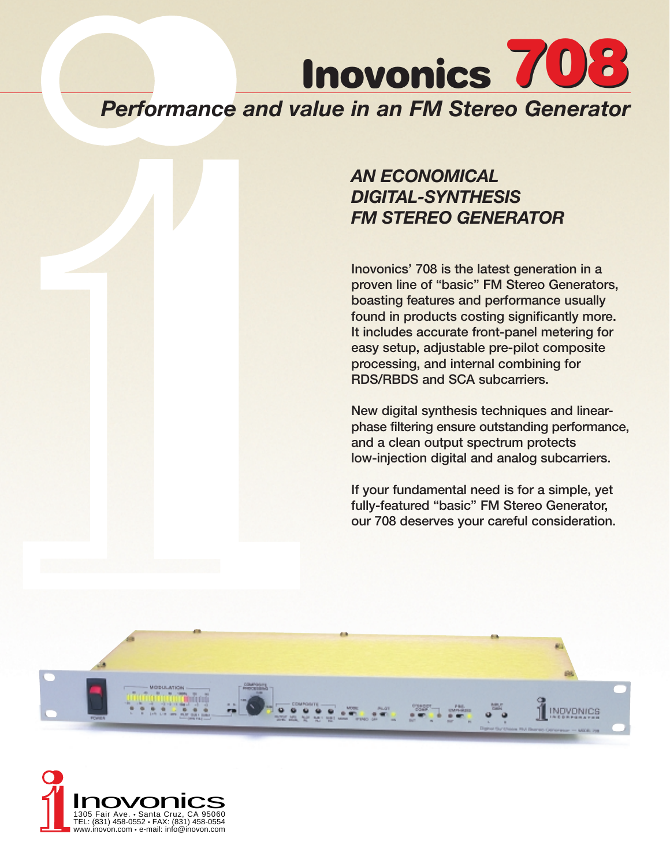# **Inovonics 708** *Performance and value in an FM Stereo Generator*

# *AN ECONOMICAL DIGITAL-SYNTHESIS FM STEREO GENERATOR*

**Inovonics' 708 is the latest generation in a proven line of "basic" FM Stereo Generators, boasting features and performance usually found in products costing significantly more. It includes accurate front-panel metering for easy setup, adjustable pre-pilot composite processing, and internal combining for RDS/RBDS and SCA subcarriers.** 

**New digital synthesis techniques and linearphase filtering ensure outstanding performance, and a clean output spectrum protects low-injection digital and analog subcarriers.** 

**If your fundamental need is for a simple, yet fully-featured "basic" FM Stereo Generator, our 708 deserves your careful consideration.**